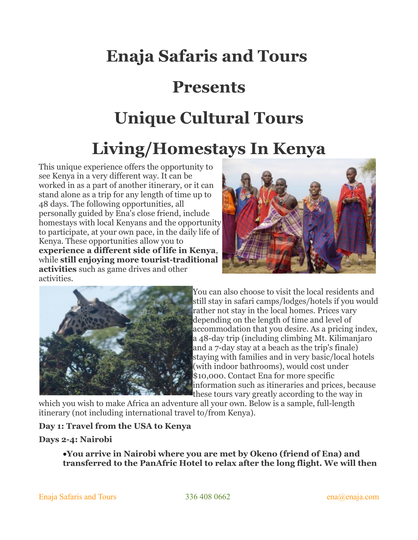# **Enaja Safaris and Tours**

# **Presents**

# **Unique Cultural Tours**

# **Living/Homestays In Kenya**

This unique experience offers the opportunity to see Kenya in a very different way. It can be worked in as a part of another itinerary, or it can stand alone as a trip for any length of time up to 48 days. The following opportunities, all personally guided by Ena's close friend, include homestays with local Kenyans and the opportunity to participate, at your own pace, in the daily life of Kenya. These opportunities allow you to **experience a different side of life in Kenya**, while **still enjoying more tourist-traditional activities** such as game drives and other activities.





[Y](http://www.enaja.com/wp-content/uploads/2010/12/Tanzania-giraffe.jpg)ou can also choose to visit the local residents and still stay in safari camps/lodges/hotels if you would rather not stay in the local homes. Prices vary depending on the length of time and level of accommodation that you desire. As a pricing index, a 48-day trip (including climbing Mt. Kilimanjaro and a 7-day stay at a beach as the trip's finale) staying with families and in very basic/local hotels (with indoor bathrooms), would cost under \$10,000. Contact Ena for more specific information such as itineraries and prices, because these tours vary greatly according to the way in

which you wish to make Africa an adventure all your own. Below is a sample, full-length itinerary (not including international travel to/from Kenya).

# **Day 1: Travel from the USA to Kenya**

# **Days 2-4: Nairobi**

**You arrive in Nairobi where you are met by Okeno (friend of Ena) and transferred to the PanAfric Hotel to relax after the long flight. We will then**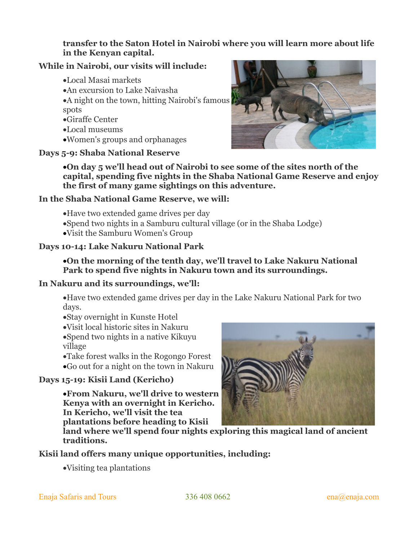# **transfer to the Saton Hotel in Nairobi where you will learn more about life in the Kenyan capital.**

# **While in Nairobi, our visits will include:**

- Local Masai markets
- An excursion to Lake Naivasha
- A night on the town, hitting Nairobi's famous spots
- Giraffe Center
- Local museums
- Women's groups and orphanages

# **Days 5-9: Shaba National Reserve**



**On day 5 we'll head out of Nairobi to see some of the sites north of the capital, spending five nights in the Shaba National Game Reserve and enjoy the first of many game sightings on this adventure.**

# **In the Shaba National Game Reserve, we will:**

- Have two extended game drives per day
- Spend two nights in a Samburu cultural village (or in the Shaba Lodge)
- Visit the Samburu Women's Group

# **Days 10-14: Lake Nakuru National Park**

# **On the morning of the tenth day, we'll travel to Lake Nakuru National Park to spend five nights in Nakuru town and its surroundings.**

# **In Nakuru and its surroundings, we'll:**

Have two extended game drives per day in the Lake Nakuru National Park for two days.

Stay overnight in Kunste Hotel

- Visit local historic sites in Nakuru Spend two nights in a native Kikuyu
- village Take forest walks in the Rogongo Forest
- Go out for a night on the town in Nakuru

# **Days 15-19: Kisii Land (Kericho)**

**From Nakuru, we'll drive to western Kenya with an overnight in Kericho. In Kericho, we'll visit the tea plantations before heading to Kisii**



**land where we'll spend four nights exploring this magical land of ancient traditions.**

# **Kisii land offers many unique opportunities, including:**

Visiting tea plantations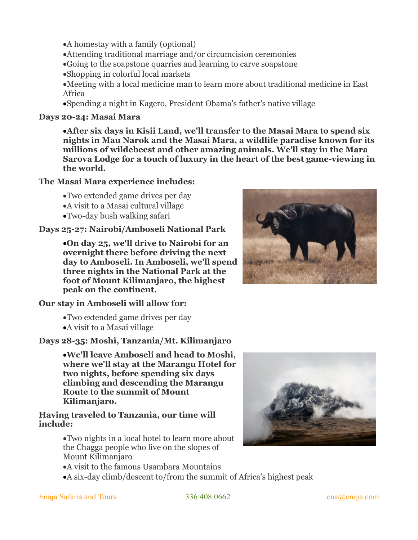• A homestay with a family (optional)

Attending traditional marriage and/or circumcision ceremonies

Going to the soapstone quarries and learning to carve soapstone

Shopping in colorful local markets

Meeting with a local medicine man to learn more about traditional medicine in East Africa

Spending a night in Kagero, President Obama's father's native village

#### **Days 20-24: Masai Mara**

**After six days in Kisii Land, we'll transfer to the Masai Mara to spend six nights in Mau Narok and the Masai Mara, a wildlife paradise known for its millions of wildebeest and other amazing animals. We'll stay in the Mara Sarova Lodge for a touch of luxury in the heart of the best game-viewing in the world.**

#### **The Masai Mara experience includes:**

Two extended game drives per day

- A visit to a Masai cultural village
- Two-day bush walking safari

#### **Days 25-27: Nairobi/Amboseli National Park**

**On day 25, we'll drive to Nairobi for an overnight there before driving the next day to Amboseli. In Amboseli, we'll spend three nights in the National Park at the foot of Mount Kilimanjaro, the highest peak on the continent.**

# **Our stay in Amboseli will allow for:**

Two extended game drives per day

A visit to a Masai village

# **Days 28-35: Moshi, Tanzania/Mt. Kilimanjaro**

**We'll leave Amboseli and head to Moshi, where we'll stay at the Marangu Hotel for two nights, before spending six days climbing and descending the Marangu Route to the summit of Mount Kilimanjaro.**

#### **Having traveled to Tanzania, our time will include:**

Two nights in a local hotel to learn more about the Chagga people who live on the slopes of Mount Kilimanjaro



A six-day climb/descent to/from the summit of Africa's highest peak